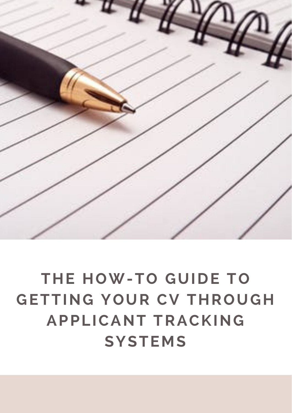

# **THE HOW-TO GUIDE TO GETTING YOUR CV THROUGH APPLICANT TRACKING SYSTEMS**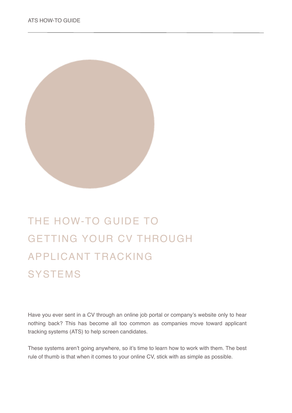

# THE HOW-TO GUIDE TO GETTING YOUR CV THROUGH APPLICANT TRACKING **SYSTEMS**

Have you ever sent in a CV through an online job portal or company's website only to hear nothing back? This has become all too common as companies move toward applicant tracking systems (ATS) to help screen candidates.

These systems aren't going anywhere, so it's time to learn how to work with them. The best rule of thumb is that when it comes to your online CV, stick with as simple as possible.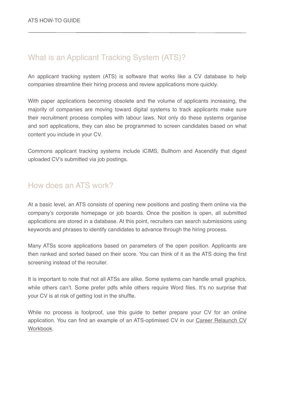# What is an Applicant Tracking System (ATS)?

An applicant tracking system (ATS) is software that works like a CV database to help companies streamline their hiring process and review applications more quickly.

With paper applications becoming obsolete and the volume of applicants increasing, the majority of companies are moving toward digital systems to track applicants make sure their recruitment process complies with labour laws. Not only do these systems organise and sort applications, they can also be programmed to screen candidates based on what content you include in your CV.

Commons applicant tracking systems include iCIMS, Bullhorn and Ascendify that digest uploaded CV's submitted via job postings.

## How does an ATS work?

At a basic level, an ATS consists of opening new positions and posting them online via the company's corporate homepage or job boards. Once the position is open, all submitted applications are stored in a database. At this point, recruiters can search submissions using keywords and phrases to identify candidates to advance through the hiring process.

Many ATSs score applications based on parameters of the open position. Applicants are then ranked and sorted based on their score. You can think of it as the ATS doing the first screening instead of the recruiter.

It is important to note that not all ATSs are alike. Some systems can handle small graphics, while others can't. Some prefer pdfs while others require Word files. It's no surprise that your CV is at risk of getting lost in the shuffle.

While no process is foolproof, use this guide to better prepare your CV for an online [application. You can find an example of an ATS-optimised CV in our Career Relaunch CV](https://www.workhappymums.com/workbooks.html)  Workbook.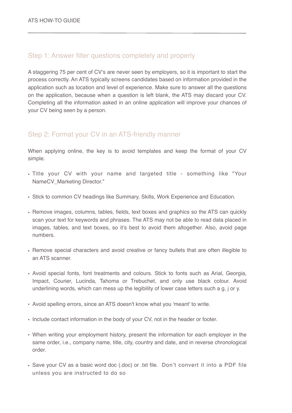#### Step 1: Answer filter questions completely and properly

A staggering 75 per cent of CV's are never seen by employers, so it is important to start the process correctly. An ATS typically screens candidates based on information provided in the application such as location and level of experience. Make sure to answer all the questions on the application, because when a question is left blank, the ATS may discard your CV. Completing all the information asked in an online application will improve your chances of your CV being seen by a person.

### Step 2: Format your CV in an ATS-friendly manner

When applying online, the key is to avoid templates and keep the format of your CV simple.

- Title your CV with your name and targeted title something like "Your NameCV Marketing Director."
- Stick to common CV headings like Summary, Skills, Work Experience and Education.
- Remove images, columns, tables, fields, text boxes and graphics so the ATS can quickly scan your text for keywords and phrases. The ATS may not be able to read data placed in images, tables, and text boxes, so it's best to avoid them altogether. Also, avoid page numbers.
- Remove special characters and avoid creative or fancy bullets that are often illegible to an ATS scanner.
- Avoid special fonts, font treatments and colours. Stick to fonts such as Arial, Georgia, Impact, Courier, Lucinda, Tahoma or Trebuchet, and only use black colour. Avoid underlining words, which can mess up the legibility of lower case letters such a g, j or y.
- Avoid spelling errors, since an ATS doesn't know what you 'meant' to write.
- Include contact information in the body of your CV, not in the header or footer.
- When writing your employment history, present the information for each employer in the same order, i.e., company name, title, city, country and date, and in reverse chronological order.
- Save your CV as a basic word doc (.doc) or .txt file. Don't convert it into a PDF file unless you are instructed to do so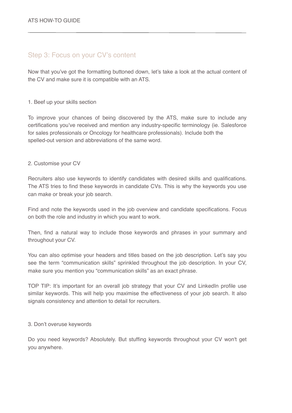#### Step 3: Focus on your CV's content

Now that you've got the formatting buttoned down, let's take a look at the actual content of the CV and make sure it is compatible with an ATS.

#### 1. Beef up your skills section

To improve your chances of being discovered by the ATS, make sure to include any certifications you've received and mention any industry-specific terminology (ie. Salesforce for sales professionals or Oncology for healthcare professionals). Include both the spelled-out version and abbreviations of the same word.

#### 2. Customise your CV

Recruiters also use keywords to identify candidates with desired skills and qualifications. The ATS tries to find these keywords in candidate CVs. This is why the keywords you use can make or break your job search.

Find and note the keywords used in the job overview and candidate specifications. Focus on both the role and industry in which you want to work.

Then, find a natural way to include those keywords and phrases in your summary and throughout your CV.

You can also optimise your headers and titles based on the job description. Let's say you see the term "communication skills" sprinkled throughout the job description. In your CV, make sure you mention you "communication skills" as an exact phrase.

TOP TIP: It's important for an overall job strategy that your CV and LinkedIn profile use similar keywords. This will help you maximise the effectiveness of your job search. It also signals consistency and attention to detail for recruiters.

#### 3. Don't overuse keywords

Do you need keywords? Absolutely. But stuffing keywords throughout your CV won't get you anywhere.